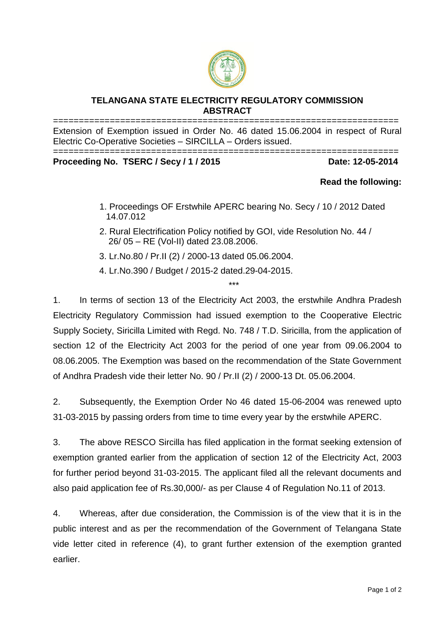

## **TELANGANA STATE ELECTRICITY REGULATORY COMMISSION ABSTRACT**

=================================================================== Extension of Exemption issued in Order No. 46 dated 15.06.2004 in respect of Rural Electric Co-Operative Societies – SIRCILLA – Orders issued.

=================================================================== **Proceeding No. TSERC / Secy / 1 / 2015 Date: 12-05-2014**

## **Read the following:**

- 1. Proceedings OF Erstwhile APERC bearing No. Secy / 10 / 2012 Dated 14.07.012
- 2. Rural Electrification Policy notified by GOI, vide Resolution No. 44 / 26/ 05 – RE (Vol-II) dated 23.08.2006.

\*\*\*

- 3. Lr.No.80 / Pr.II (2) / 2000-13 dated 05.06.2004.
- 4. Lr.No.390 / Budget / 2015-2 dated.29-04-2015.

1. In terms of section 13 of the Electricity Act 2003, the erstwhile Andhra Pradesh Electricity Regulatory Commission had issued exemption to the Cooperative Electric Supply Society, Siricilla Limited with Regd. No. 748 / T.D. Siricilla, from the application of section 12 of the Electricity Act 2003 for the period of one year from 09.06.2004 to 08.06.2005. The Exemption was based on the recommendation of the State Government of Andhra Pradesh vide their letter No. 90 / Pr.II (2) / 2000-13 Dt. 05.06.2004.

2. Subsequently, the Exemption Order No 46 dated 15-06-2004 was renewed upto 31-03-2015 by passing orders from time to time every year by the erstwhile APERC.

3. The above RESCO Sircilla has filed application in the format seeking extension of exemption granted earlier from the application of section 12 of the Electricity Act, 2003 for further period beyond 31-03-2015. The applicant filed all the relevant documents and also paid application fee of Rs.30,000/- as per Clause 4 of Regulation No.11 of 2013.

4. Whereas, after due consideration, the Commission is of the view that it is in the public interest and as per the recommendation of the Government of Telangana State vide letter cited in reference (4), to grant further extension of the exemption granted earlier.